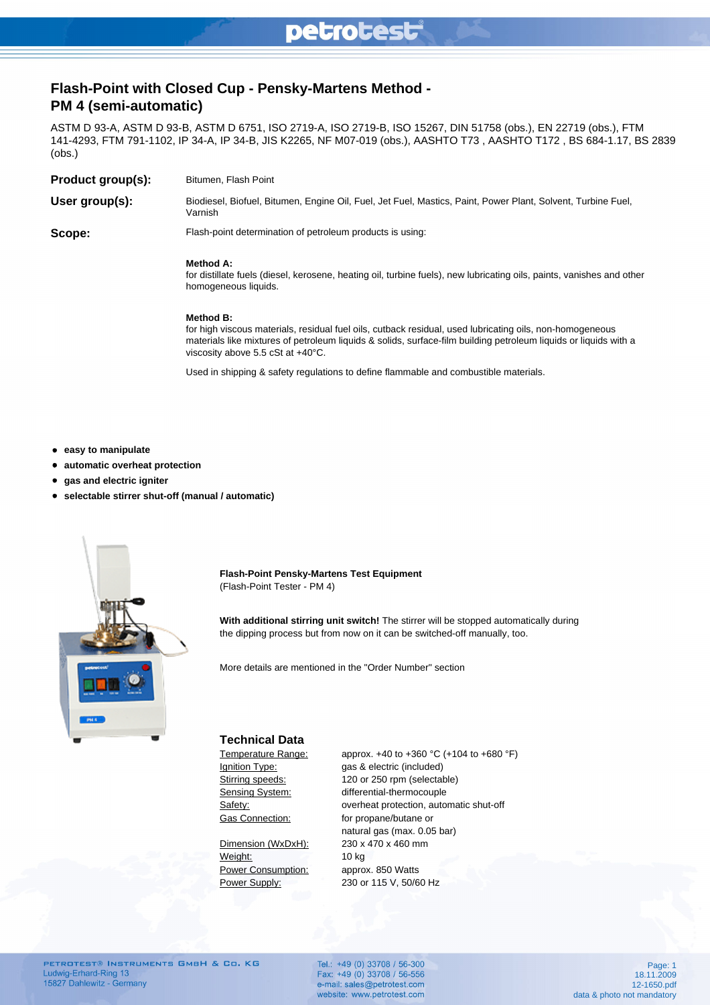### petrotest

### **Flash-Point with Closed Cup - Pensky-Martens Method - PM 4 (semi-automatic)**

ASTM D 93-A, ASTM D 93-B, ASTM D 6751, ISO 2719-A, ISO 2719-B, ISO 15267, DIN 51758 (obs.), EN 22719 (obs.), FTM 141-4293, FTM 791-1102, IP 34-A, IP 34-B, JIS K2265, NF M07-019 (obs.), AASHTO T73 , AASHTO T172 , BS 684-1.17, BS 2839 (obs.)

| Product group(s): | Bitumen, Flash Point                                                                                                                                                                                                                                                           |
|-------------------|--------------------------------------------------------------------------------------------------------------------------------------------------------------------------------------------------------------------------------------------------------------------------------|
| User group(s):    | Biodiesel, Biofuel, Bitumen, Engine Oil, Fuel, Jet Fuel, Mastics, Paint, Power Plant, Solvent, Turbine Fuel,<br>Varnish                                                                                                                                                        |
| Scope:            | Flash-point determination of petroleum products is using:                                                                                                                                                                                                                      |
|                   | Method A:<br>for distillate fuels (diesel, kerosene, heating oil, turbine fuels), new lubricating oils, paints, vanishes and other<br>homogeneous liquids.                                                                                                                     |
|                   | Method B:<br>for high viscous materials, residual fuel oils, cutback residual, used lubricating oils, non-homogeneous<br>materials like mixtures of petroleum liquids & solids, surface-film building petroleum liquids or liquids with a<br>viscosity above 5.5 cSt at +40°C. |

Used in shipping & safety regulations to define flammable and combustible materials.

- **easy to manipulate**
- $\bullet$ **automatic overheat protection**
- **gas and electric igniter**  $\bullet$
- **selectable stirrer shut-off (manual / automatic)**  $\bullet$



**Flash-Point Pensky-Martens Test Equipment** (Flash-Point Tester - PM 4)

**With additional stirring unit switch!** The stirrer will be stopped automatically during the dipping process but from now on it can be switched-off manually, too.

More details are mentioned in the "Order Number" section

#### **Technical Data**

Weight: 10 kg Power Consumption: approx. 850 Watts Power Supply: 230 or 115 V, 50/60 Hz

Temperature Range: approx. +40 to +360 °C (+104 to +680 °F) Ignition Type: gas & electric (included) Stirring speeds: 120 or 250 rpm (selectable) Sensing System: differential-thermocouple Safety: **overheat protection**, automatic shut-off Gas Connection: for propane/butane or natural gas (max. 0.05 bar) Dimension (WxDxH): 230 x 470 x 460 mm

Tel.: +49 (0) 33708 / 56-300 Fax: +49 (0) 33708 / 56-556 e-mail: sales@petrotest.com website: www.petrotest.com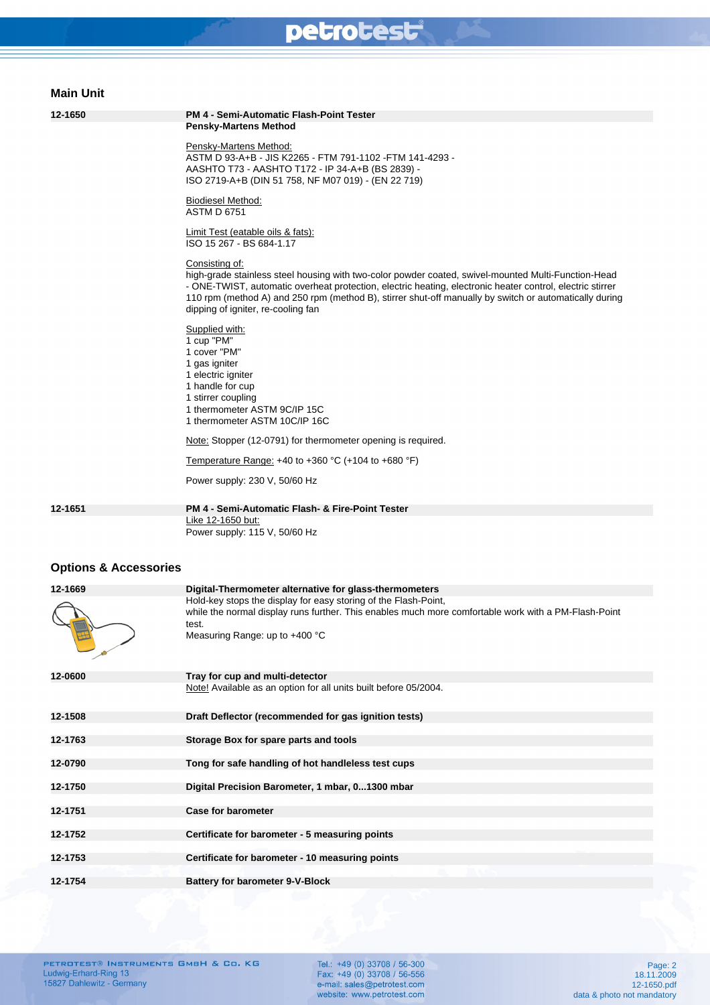### petrotest®

#### **Main Unit**

| Malli Uliit                      |                                                                                                                                                                                                                                                                                                                                                                                    |
|----------------------------------|------------------------------------------------------------------------------------------------------------------------------------------------------------------------------------------------------------------------------------------------------------------------------------------------------------------------------------------------------------------------------------|
| 12-1650                          | <b>PM 4 - Semi-Automatic Flash-Point Tester</b><br><b>Pensky-Martens Method</b>                                                                                                                                                                                                                                                                                                    |
|                                  | <b>Pensky-Martens Method:</b><br>ASTM D 93-A+B - JIS K2265 - FTM 791-1102 - FTM 141-4293 -<br>AASHTO T73 - AASHTO T172 - IP 34-A+B (BS 2839) -<br>ISO 2719-A+B (DIN 51 758, NF M07 019) - (EN 22 719)                                                                                                                                                                              |
|                                  | <b>Biodiesel Method:</b><br><b>ASTM D 6751</b>                                                                                                                                                                                                                                                                                                                                     |
|                                  | <u>Limit Test (eatable oils &amp; fats).</u><br>ISO 15 267 - BS 684-1.17                                                                                                                                                                                                                                                                                                           |
|                                  | Consisting of:<br>high-grade stainless steel housing with two-color powder coated, swivel-mounted Multi-Function-Head<br>- ONE-TWIST, automatic overheat protection, electric heating, electronic heater control, electric stirrer<br>110 rpm (method A) and 250 rpm (method B), stirrer shut-off manually by switch or automatically during<br>dipping of igniter, re-cooling fan |
|                                  | Supplied with:<br>1 cup "PM"<br>1 cover "PM"<br>1 gas igniter<br>1 electric igniter<br>1 handle for cup<br>1 stirrer coupling<br>1 thermometer ASTM 9C/IP 15C<br>1 thermometer ASTM 10C/IP 16C                                                                                                                                                                                     |
|                                  | Note: Stopper (12-0791) for thermometer opening is required.                                                                                                                                                                                                                                                                                                                       |
|                                  | Temperature Range: $+40$ to $+360$ °C ( $+104$ to $+680$ °F)                                                                                                                                                                                                                                                                                                                       |
|                                  | Power supply: 230 V, 50/60 Hz                                                                                                                                                                                                                                                                                                                                                      |
| 12-1651                          | <b>PM 4 - Semi-Automatic Flash- &amp; Fire-Point Tester</b>                                                                                                                                                                                                                                                                                                                        |
|                                  | Like 12-1650 but:<br>Power supply: 115 V, 50/60 Hz                                                                                                                                                                                                                                                                                                                                 |
| <b>Options &amp; Accessories</b> |                                                                                                                                                                                                                                                                                                                                                                                    |
| 12-1669                          | Digital-Thermometer alternative for glass-thermometers<br>Hold-key stops the display for easy storing of the Flash-Point,<br>while the normal display runs further. This enables much more comfortable work with a PM-Flash-Point<br>test.<br>Measuring Range: up to +400 °C                                                                                                       |
| 12-0600                          | Tray for cup and multi-detector                                                                                                                                                                                                                                                                                                                                                    |
|                                  | Note! Available as an option for all units built before 05/2004.                                                                                                                                                                                                                                                                                                                   |
| 12-1508                          | Draft Deflector (recommended for gas ignition tests)                                                                                                                                                                                                                                                                                                                               |
| 12-1763                          | Storage Box for spare parts and tools                                                                                                                                                                                                                                                                                                                                              |
| 12-0790                          | Tong for safe handling of hot handleless test cups                                                                                                                                                                                                                                                                                                                                 |

**12-1751 Case for barometer**

**12-1750 Digital Precision Barometer, 1 mbar, 0...1300 mbar**

**12-1752 Certificate for barometer - 5 measuring points**

**12-1753 Certificate for barometer - 10 measuring points**

**12-1754 Battery for barometer 9-V-Block**

Tel.: +49 (0) 33708 / 56-300 Fax: +49 (0) 33708 / 56-556 e-mail: sales@petrotest.com website: www.petrotest.com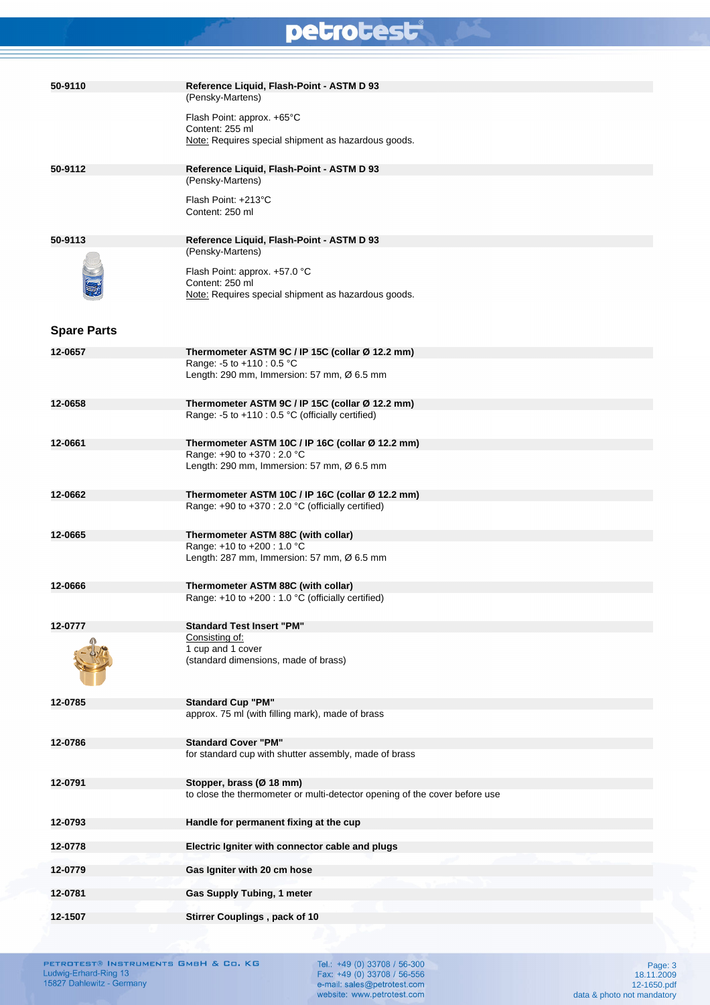# petrotest®

| 50-9110            | Reference Liquid, Flash-Point - ASTM D 93<br>(Pensky-Martens)                                                               |
|--------------------|-----------------------------------------------------------------------------------------------------------------------------|
|                    | Flash Point: approx. +65°C<br>Content: 255 ml<br>Note: Requires special shipment as hazardous goods.                        |
| 50-9112            | Reference Liquid, Flash-Point - ASTM D 93<br>(Pensky-Martens)<br>Flash Point: +213°C<br>Content: 250 ml                     |
| 50-9113            | Reference Liquid, Flash-Point - ASTM D 93<br>(Pensky-Martens)                                                               |
|                    | Flash Point: approx. +57.0 °C<br>Content: 250 ml<br>Note: Requires special shipment as hazardous goods.                     |
| <b>Spare Parts</b> |                                                                                                                             |
| 12-0657            | Thermometer ASTM 9C / IP 15C (collar Ø 12.2 mm)<br>Range: -5 to +110 : 0.5 °C<br>Length: 290 mm, Immersion: 57 mm, Ø 6.5 mm |
| 12-0658            | Thermometer ASTM 9C / IP 15C (collar Ø 12.2 mm)                                                                             |
|                    | Range: -5 to +110 : 0.5 $^{\circ}$ C (officially certified)                                                                 |
| 12-0661            | Thermometer ASTM 10C / IP 16C (collar Ø 12.2 mm)                                                                            |
|                    | Range: +90 to +370 : 2.0 °C<br>Length: 290 mm, Immersion: 57 mm, Ø 6.5 mm                                                   |
| 12-0662            | Thermometer ASTM 10C / IP 16C (collar Ø 12.2 mm)<br>Range: +90 to +370 : 2.0 °C (officially certified)                      |
| 12-0665            | Thermometer ASTM 88C (with collar)                                                                                          |
|                    | Range: +10 to +200 : 1.0 °C<br>Length: 287 mm, Immersion: 57 mm, $\varnothing$ 6.5 mm                                       |
| 12-0666            | Thermometer ASTM 88C (with collar)<br>Range: +10 to +200 : 1.0 °C (officially certified)                                    |
|                    |                                                                                                                             |
| 12-0777            | <b>Standard Test Insert "PM"</b><br>Consisting of:                                                                          |
|                    | 1 cup and 1 cover<br>(standard dimensions, made of brass)                                                                   |
| 12-0785            | <b>Standard Cup "PM"</b><br>approx. 75 ml (with filling mark), made of brass                                                |
|                    |                                                                                                                             |
| 12-0786            | <b>Standard Cover "PM"</b><br>for standard cup with shutter assembly, made of brass                                         |
| 12-0791            | Stopper, brass (Ø 18 mm)<br>to close the thermometer or multi-detector opening of the cover before use                      |
| 12-0793            | Handle for permanent fixing at the cup                                                                                      |
| 12-0778            | Electric Igniter with connector cable and plugs                                                                             |
| 12-0779            | Gas Igniter with 20 cm hose                                                                                                 |
| 12-0781            | Gas Supply Tubing, 1 meter                                                                                                  |
| 12-1507            | <b>Stirrer Couplings, pack of 10</b>                                                                                        |

Tel.: +49 (0) 33708 / 56-300<br>Fax: +49 (0) 33708 / 56-556<br>e-mail: sales@petrotest.com<br>website: www.petrotest.com